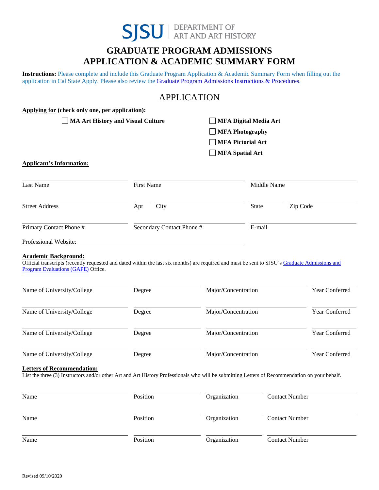

# **GRADUATE PROGRAM ADMISSIONS APPLICATION & ACADEMIC SUMMARY FORM**

**Instructions:** Please complete and include this Graduate Program Application & Academic Summary Form when filling out the application in Cal State Apply. Please also review the Graduate [Program Admissions](http://www.sjsu.edu/art/documents/forms/) Instructions & Procedures.

## APPLICATION

| Applying for (check only one, per application):                                                                                                                                     |                              |                          |                     |                       |  |
|-------------------------------------------------------------------------------------------------------------------------------------------------------------------------------------|------------------------------|--------------------------|---------------------|-----------------------|--|
| <b>MA Art History and Visual Culture</b><br>$\mathbf{I}$                                                                                                                            | <b>MFA Digital Media Art</b> |                          |                     |                       |  |
|                                                                                                                                                                                     |                              | <b>MFA Photography</b>   |                     |                       |  |
|                                                                                                                                                                                     |                              | <b>MFA Pictorial Art</b> |                     |                       |  |
|                                                                                                                                                                                     |                              | <b>MFA Spatial Art</b>   |                     |                       |  |
| <b>Applicant's Information:</b>                                                                                                                                                     |                              |                          |                     |                       |  |
|                                                                                                                                                                                     |                              |                          |                     |                       |  |
| <b>Last Name</b>                                                                                                                                                                    | <b>First Name</b>            |                          | Middle Name         |                       |  |
| <b>Street Address</b>                                                                                                                                                               | City<br>Apt                  |                          | State               | Zip Code              |  |
| Primary Contact Phone #                                                                                                                                                             | Secondary Contact Phone #    |                          | E-mail              |                       |  |
| Professional Website:                                                                                                                                                               |                              |                          |                     |                       |  |
| <b>Program Evaluations (GAPE)</b> Office.<br>Name of University/College                                                                                                             | Degree                       | Major/Concentration      |                     | Year Conferred        |  |
| Name of University/College                                                                                                                                                          | Degree                       | Major/Concentration      |                     | Year Conferred        |  |
| Name of University/College                                                                                                                                                          | Degree                       |                          | Major/Concentration |                       |  |
| Name of University/College                                                                                                                                                          | Degree                       | Major/Concentration      |                     | Year Conferred        |  |
| <b>Letters of Recommendation:</b><br>List the three (3) Instructors and/or other Art and Art History Professionals who will be submitting Letters of Recommendation on your behalf. |                              |                          |                     |                       |  |
| Name                                                                                                                                                                                | Position                     | Organization             |                     | <b>Contact Number</b> |  |
| Name                                                                                                                                                                                | Position                     | Organization             |                     | <b>Contact Number</b> |  |
|                                                                                                                                                                                     |                              |                          |                     |                       |  |

Name Position **Position** Organization Contact Number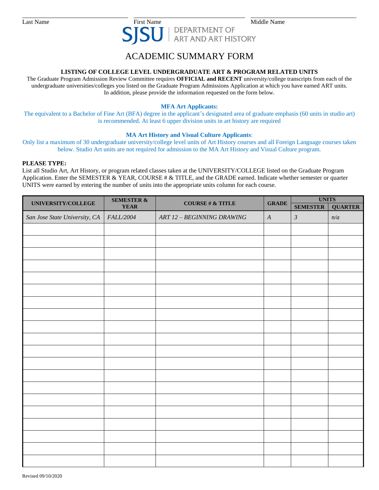

### ACADEMIC SUMMARY FORM

#### **LISTING OF COLLEGE LEVEL UNDERGRADUATE ART & PROGRAM RELATED UNITS**

The Graduate Program Admission Review Committee requires **OFFICIAL and RECENT** university/college transcripts from each of the undergraduate universities/colleges you listed on the Graduate Program Admissions Application at which you have earned ART units. In addition, please provide the information requested on the form below.

#### **MFA Art Applicants:**

The equivalent to a Bachelor of Fine Art (BFA) degree in the applicant's designated area of graduate emphasis (60 units in studio art) is recommended. At least 6 upper division units in art history are required

#### **MA Art History and Visual Culture Applicants**:

Only list a maximum of 30 undergraduate university/college level units of Art History courses and all Foreign Language courses taken below. Studio Art units are not required for admission to the MA Art History and Visual Culture program.

#### **PLEASE TYPE:**

List all Studio Art, Art History, or program related classes taken at the UNIVERSITY/COLLEGE listed on the Graduate Program Application. Enter the SEMESTER & YEAR, COURSE # & TITLE, and the GRADE earned. Indicate whether semester or quarter UNITS were earned by entering the number of units into the appropriate units column for each course.

| UNIVERSITY/COLLEGE            | <b>SEMESTER &amp;</b><br><b>YEAR</b> | COURSE # $\&$ TITLE        | <b>GRADE</b>     | <b>UNITS</b>    |                |
|-------------------------------|--------------------------------------|----------------------------|------------------|-----------------|----------------|
|                               |                                      |                            |                  | <b>SEMESTER</b> | <b>QUARTER</b> |
| San Jose State University, CA | FALL/2004                            | ART 12 - BEGINNING DRAWING | $\boldsymbol{A}$ | $\mathfrak{Z}$  | n/a            |
|                               |                                      |                            |                  |                 |                |
|                               |                                      |                            |                  |                 |                |
|                               |                                      |                            |                  |                 |                |
|                               |                                      |                            |                  |                 |                |
|                               |                                      |                            |                  |                 |                |
|                               |                                      |                            |                  |                 |                |
|                               |                                      |                            |                  |                 |                |
|                               |                                      |                            |                  |                 |                |
|                               |                                      |                            |                  |                 |                |
|                               |                                      |                            |                  |                 |                |
|                               |                                      |                            |                  |                 |                |
|                               |                                      |                            |                  |                 |                |
|                               |                                      |                            |                  |                 |                |
|                               |                                      |                            |                  |                 |                |
|                               |                                      |                            |                  |                 |                |
|                               |                                      |                            |                  |                 |                |
|                               |                                      |                            |                  |                 |                |
|                               |                                      |                            |                  |                 |                |
|                               |                                      |                            |                  |                 |                |
|                               |                                      |                            |                  |                 |                |